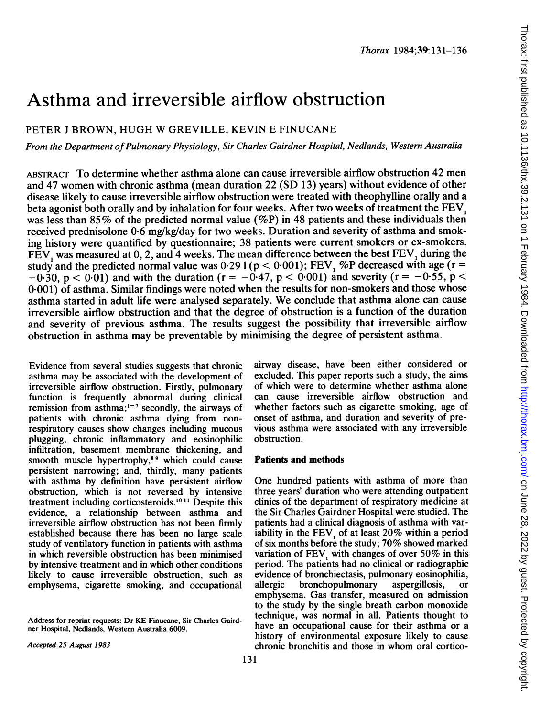# Asthma and irreversible airflow obstruction

# PETER <sup>J</sup> BROWN, HUGH W GREVILLE, KEVIN E FINUCANE

From the Department of Pulmonary Physiology, Sir Charles Gairdner Hospital, Nedlands, Western Australia

ABSTRACT To determine whether asthma alone can cause irreversible airflow obstruction 42 men and 47 women with chronic asthma (mean duration 22 (SD 13) years) without evidence of other disease likely to cause irreversible airflow obstruction were treated with theophylline orally and a beta agonist both orally and by inhalation for four weeks. After two weeks of treatment the FEV, was less than 85% of the predicted normal value (%P) in 48 patients and these individuals then received prednisolone 0\*6 mg/kg/day for two weeks. Duration and severity of asthma and smoking history were quantified by questionnaire; 38 patients were current smokers or ex-smokers. FEV, was measured at 0, 2, and 4 weeks. The mean difference between the best FEV, during the study and the predicted normal value was  $0.291(p < 0.001)$ ; FEV, %P decreased with age  $(r =$  $-0.30$ , p < 0.01) and with the duration (r =  $-0.47$ , p < 0.001) and severity (r =  $-0.55$ , p < 0.001) of asthma. Similar findings were noted when the results for non-smokers and those whose asthma started in adult life were analysed separately. We conclude that asthma alone can cause irreversible airflow obstruction and that the degree of obstruction is a function of the duration and severity of previous asthma. The results suggest the possibility that irreversible airflow obstruction in asthma may be preventable by minimising the degree of persistent asthma.

Evidence from several studies suggests that chronic asthma may be associated with the development of irreversible airflow obstruction. Firstly, pulmonary function is frequently abnormal during clinical remission from asthma; $1 - 7$  secondly, the airways of patients with chronic asthma dying from nonrespiratory causes show changes including mucous plugging, chronic inflammatory and eosinophilic infiltration, basement membrane thickening, and smooth muscle hypertrophy,<sup>89</sup> which could cause persistent narrowing; and, thirdly, many patients with asthma by definition have persistent airflow obstruction, which is not reversed by intensive treatment including corticosteroids.<sup>10.11</sup> Despite this evidence, a relationship between asthma and irreversible airflow obstruction has not been firmly established because there has been no large scale study of ventilatory function in patients with asthma in which reversible obstruction has been minimised by intensive treatment and in which other conditions likely to cause irreversible obstruction, such as emphysema, cigarette smoking, and occupational

airway disease, have been either considered or excluded. This paper reports such a study, the aims of which were to determine whether asthma alone can cause irreversible airflow obstruction and whether factors such as cigarette smoking, age of onset of asthma, and duration and severity of previous asthma were associated with any irreversible obstruction.

### Patients and methods

One hundred patients with asthma of more than three years' duration who were attending outpatient clinics of the department of respiratory medicine at the Sir Charles Gairdner Hospital were studied. The patients had a clinical diagnosis of asthma with variability in the FEV, of at least  $20\%$  within a period of six months before the study; 70% showed marked variation of FEV, with changes of over  $50\%$  in this period. The patients had no clinical or radiographic evidence of bronchiectasis, pulmonary eosinophilia, allergic bronchopulmonary aspergillosis. or allergic bronchopulmonary aspergillosis, or emphysema. Gas transfer, measured on admission to the study by the single breath carbon monoxide technique, was normal in all. Patients thought to have an occupational cause for their asthma or a history of environmental exposure likely to cause chronic bronchitis and those in whom oral cortico-

Address for reprint requests: Dr KE Finucane, Sir Charles Gairdner Hospital, Nedlands, Western Australia 6009.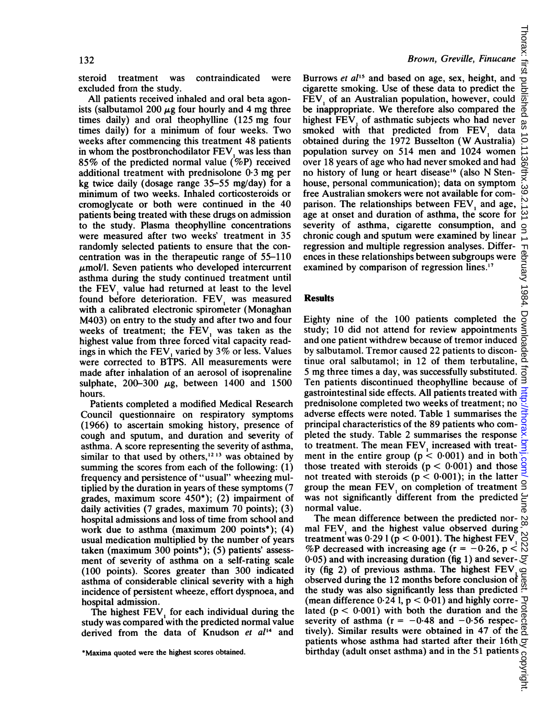steroid treatment was contraindicated were excluded from the study.

All patients received inhaled and oral beta agonists (salbutamol 200  $\mu$ g four hourly and 4 mg three times daily) and oral theophylline (125 mg four times daily) for a minimum of four weeks. Two weeks after commencing this treatment 48 patients in whom the postbronchodilator FEV, was less than 85% of the predicted normal value (%P) received additional treatment with prednisolone 0-3 mg per kg twice daily (dosage range 35-55 mg/day) for a minimum of two weeks. Inhaled corticosteroids or cromoglycate or both were continued in the 40 patients being treated with these drugs on admission to the study. Plasma theophylline concentrations were measured after two weeks' treatment in 35 randomly selected patients to ensure that the concentration was in the therapeutic range of 55-110  $\mu$ mol/l. Seven patients who developed intercurrent asthma during the study continued treatment until the FEV, value had returned at least to the level found before deterioration. FEV, was measured with a calibrated electronic spirometer (Monaghan M403) on entry to the study and after two and four weeks of treatment; the FEV, was taken as the highest value from three forced vital capacity readings in which the FEV, varied by 3% or less. Values were corrected to BTPS. All measurements were made after inhalation of an aerosol of isoprenaline sulphate,  $200-300 \mu$ g, between 1400 and 1500 hours.

Patients completed a modified Medical Research Council questionnaire on respiratory symptoms (1966) to ascertain smoking history, presence of cough and sputum, and duration and severity of asthma. A score representing the severity of asthma, similar to that used by others, $1213$  was obtained by summing the scores from each of the following: (1) frequency and persistence of "usual" wheezing multiplied by the duration in years of these symptoms (7 grades, maximum score 450\*); (2) impairment of daily activities (7 grades, maximum 70 points); (3) hospital admissions and loss of time from school and work due to asthma (maximum 200 points\*); (4) usual medication multiplied by the number of years taken (maximum 300 points\*); (5) patients' assessment of severity of asthma on a self-rating scale (100 points). Scores greater than 300 indicated asthma of considerable clinical severity with a high incidence of persistent wheeze, effort dyspnoea, and hospital admission.

The highest FEV, for each individual during the study was compared with the predicted normal value derived from the data of Knudson et al<sup>14</sup> and

## Brown, Greville, Finucane

Burrows et al<sup>15</sup> and based on age, sex, height, and cigarette smoking. Use of these data to predict the FEV, of an Australian population, however, could be inappropriate. We therefore also compared the highest FEV, of asthmatic subjects who had never smoked with that predicted from FEV, data obtained during the 1972 Busselton (W Australia) population survey on 514 men and 1024 women over 18 years of age who had never smoked and had no history of lung or heart disease<sup>16</sup> (also N Stenhouse, personal communication); data on symptom free Australian smokers were not available for comparison. The relationships between FEV, and age, age at onset and duration of asthma, the score for severity of asthma, cigarette consumption, and chronic cough and sputum were examined by linear regression and multiple regression analyses. Differences in these relationships between subgroups were examined by comparison of regression lines.'"

#### Results

Eighty nine of the 100 patients completed the study; 10 did not attend for review appointments regression and multiple regression analyses. Differ-<br>ences in these relationships between subgroups were  $\frac{\text{eq}}{\text{eq}}$ <br>examined by comparison of regression lines.<sup>17</sup><br>**Results**<br>Eighty nine of the 100 patients completed t by salbutamol. Tremor caused 22 patients to discontinue oral salbutamol; in 12 of them terbutaline, <sup>5</sup> mg three times <sup>a</sup> day, was successfully substituted. 5 mg three times a day, was successfully substituted.  $\overrightarrow{5}$ <br>Ten patients discontinued theophylline because of  $\overrightarrow{5}$ gastrointestinal side effects. All patients treated with prednisolone completed two weeks of treatment; no adverse effects were noted. Table <sup>1</sup> summarises the principal characteristics of the 89 patients who completed the study. Table 2 summarises the response to treatment. The mean FEV, increased with treatment in the entire group ( $p < 0.001$ ) and in both those treated with steroids  $(p < 0.001)$  and those not treated with steroids  $(p < 0.001)$ ; in the latter group the mean FEV, on completion of treatment was not significantly different from the predicted normal value.

The mean difference between the predicted normal FEV, and the highest value observed during treatment was  $0.291(p < 0.001)$ . The highest FEV, %P decreased with increasing age ( $r = -0.26$ ,  $p <$ 0.05) and with increasing duration (fig 1) and sever-  $\mathcal{G}$ ity (fig 2) of previous asthma. The highest FEV, observed during the 12 months before conclusion of the study was also significantly less than predicted  $\frac{\mu}{\mu}$ <br>(mean difference 0.24 l, p < 0.01) and highly corre-(mean difference  $0.24$  l,  $p < 0.01$ ) and highly correlated  $(p < 0.001)$  with both the duration and the severity of asthma ( $r = -0.48$  and  $-0.56$  respectively). Similar results were obtained in 47 of the patients whose asthma had started after their 16th  $\frac{5}{2}$ <br>birthday (adult onset asthma) and in the 51 patients of<br> $\frac{5}{2}$ <br> $\frac{3}{2}$ <br> $\frac{3}{2}$ birthday (adult onset asthma) and in the 51 patients

<sup>\*</sup>Maxima quoted were the highest scores obtained.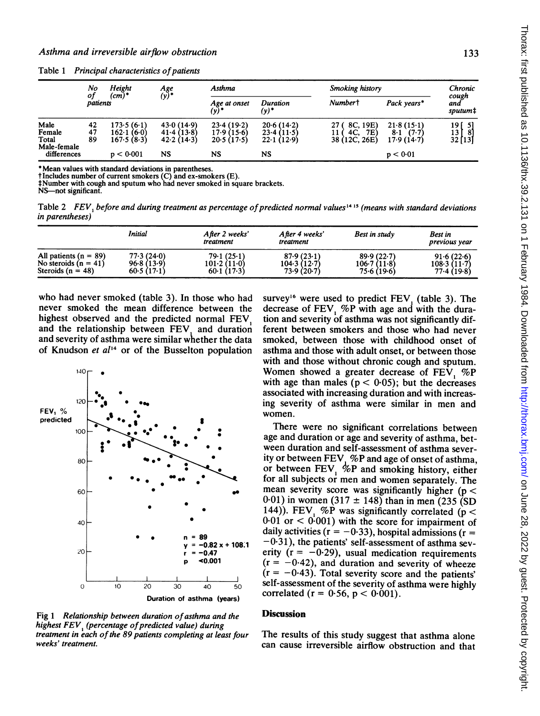|                            | No                      | Height                                  | $Age$<br>(y)*                          | Asthma                                 |                                          | Smoking history                                     |                                            | Chronic                             |
|----------------------------|-------------------------|-----------------------------------------|----------------------------------------|----------------------------------------|------------------------------------------|-----------------------------------------------------|--------------------------------------------|-------------------------------------|
|                            | οf<br>(cm)*<br>patients |                                         |                                        | Age at onset<br>(y)'                   | Duration<br>$(y)^*$                      | Number <sup>†</sup>                                 | Pack years*                                | cough<br>and<br>sputum <sup>+</sup> |
| Male<br>Female<br>Total    | 42<br>47<br>89          | 173-5 (6-1)<br>162.1(6.0)<br>167.5(8.3) | 43.0(14.9)<br>41.4(13.8)<br>42.2(14.3) | 23.4(19.2)<br>17.9(15.6)<br>20.5(17.5) | $20-6(14-2)$<br>23.4(11.5)<br>22.1(12.9) | 8C, 19E)<br>27<br>4C.<br>7E)<br>11<br>38 (12C, 26E) | 21.8(15.1)<br>$8-1$<br>(7.7)<br>17.9(14.7) | 19 [<br>-51<br>13<br>-81<br>32[13]  |
| Male-female<br>differences |                         | p < 0.001                               | NS                                     | NS                                     | NS                                       |                                                     | p < 0.01                                   |                                     |

Table 1 Principal characteristics of patients

\* Mean values with standard deviations in parentheses.

tIncludes number of current smokers (C) and ex-smokers (E). 4:Number with cough and sputum who had never smoked in square brackets.

NS-not significant

Table 2 FEV, before and during treatment as percentage of predicted normal values<sup>14 15</sup> (means with standard deviations in parentheses)

|                         | Initial    | After 2 weeks'<br>treatment | After 4 weeks'<br>treatment | Best in study     | Best in<br>previous year |
|-------------------------|------------|-----------------------------|-----------------------------|-------------------|--------------------------|
| All patients $(n = 89)$ | 77.3(24.0) | 79.1(25.1)                  | 87.9(23.1)                  | 89.9(22.7)        | 91.6(22.6)               |
| No steroids $(n = 41)$  | 96.8(13.9) | 101.2(11.0)                 | 104.3(12.7)                 | $106 - 7(11 - 8)$ | 108.3(11.7)              |
| Steroids $(n = 48)$     | 60.5(17.1) | 60.1(17.3)                  | 73.9(20.7)                  | 75.6(19.6)        | 77.4(19.8)               |

who had never smoked (table 3). In those who had never smoked the mean difference between the highest observed and the predicted normal FEV, and the relationship between  $FEV<sub>1</sub>$  and duration and severity of asthma were similar whether the data of Knudson et  $al<sup>14</sup>$  or of the Busselton population



Fig 1 Relationship between duration of asthma and the highest FEV, (percentage of predicted value) during treatment in each of the 89 patients completing at least four weeks' treatment.

survey<sup>16</sup> were used to predict FEV<sub>,</sub> (table 3). The decrease of FEV, %P with age and with the duration and severity of asthma was not significantly different between smokers and those who had never smoked, between those with childhood onset of asthma and those with adult onset, or between those with and those without chronic cough and sputum. Women showed <sup>a</sup> greater decrease of FEV, %P with age than males  $(p < 0.05)$ ; but the decreases associated with increasing duration and with increasing severity of asthma were similar in men and women.

There were no significant correlations between age and duration or age and severity of asthma, between duration and self-assessment of asthma severity or between  $FEV$ , %P and age of onset of asthma, or between  $FEV$ ,  $\%P$  and smoking history, either for all subjects or men and women separately. The mean severity score was significantly higher ( $p <$ 0.01) in women  $(317 \pm 148)$  than in men  $(235 \text{ }^\circ\text{SD})$ 144)). FEV, %P was significantly correlated ( $p <$  $0.01$  or  $< 0.001$ ) with the score for impairment of daily activities ( $r = -0.33$ ), hospital admissions ( $r =$  $-0.31$ ), the patients' self-assessment of asthma severity ( $r = -0.29$ ), usual medication requirements  $(r = -0.42)$ , and duration and severity of wheeze  $(r = -0.43)$ . Total severity score and the patients' self-assessment of the severity of asthma were highly correlated ( $r = 0.56$ ,  $p < 0.001$ ).

#### **Discussion**

The results of this study suggest that asthma alone can cause irreversible airflow obstruction and that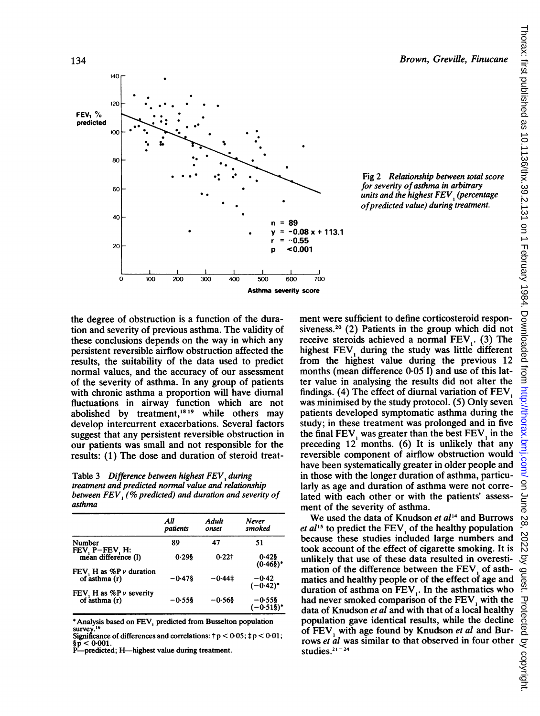

Fig 2 Relationship between total score for severity of asthma in arbitrary units and the highest  $FEV$ , (percentage ofpredicted value) during treatment.

the degree of obstruction is a function of the duration and severity of previous asthma. The validity of these conclusions depends on the way in which any persistent reversible airflow obstruction affected the results, the suitability of the data used to predict normal values, and the accuracy of our assessment of the severity of asthma. In any group of patients with chronic asthma a proportion will have diurnal fluctuations in airway function which are not abolished by treatment, $1819$  while others may develop intercurrent exacerbations. Several factors suggest that any persistent reversible obstruction in our patients was small and not responsible for the results: (1) The dose and duration of steroid treat-

Table 3 Difference between highest FEV, during treatment and predicted normal value and relationship between  $FEV<sub>1</sub>$  (% predicted) and duration and severity of asthma

|                                              | All<br>patients | Adult<br>onset | Never<br>smoked                   |
|----------------------------------------------|-----------------|----------------|-----------------------------------|
| Number                                       | 89              | 47             | 51                                |
| $FEV, P-FEV, H:$<br>mean difference (1)      | $0.29$ \$       | 0.221          | $0.42$ §<br>$(0.46\$ <sup>*</sup> |
| FEV, H as $%P$ v duration<br>of asthma (r)   | -0-478          | $-0.441$       | $-0.42$<br>$(-0.42)^*$            |
| FEV, H as %P $\nu$ severity<br>of asthma (r) | -0.55\$         | $-0.56$ §      | -0.55§<br>$(-0.51\$ <sup>*</sup>  |

\*Analysis based on FEV, predicted from Busselton population survey.

ment were sufficient to define corticosteroid responsiveness.<sup>20</sup> (2) Patients in the group which did not receive steroids achieved a normal FEV,. (3) The highest FEV, during the study was little different from the highest value during the previous 12 months (mean difference  $0.05$  l) and use of this latter value in analysing the results did not alter the findings. (4) The effect of diurnal variation of FEV, was minimised by the study protocol. (5) Only seven patients developed symptomatic asthma during the study; in these treatment was prolonged and in five the final  $FEV_1$  was greater than the best  $FEV_1$  in the preceding 12 months. (6) It is unlikely that any reversible component of airflow obstruction would have been systematically greater in older people and in those with the longer duration of asthma, particularly as age and duration of asthma were not correlated with each other or with the patients' assessment of the severity of asthma.

We used the data of Knudson et al<sup>14</sup> and Burrows  $et al<sup>15</sup>$  to predict the FEV, of the healthy population because these studies included large numbers and took account of the effect of cigarette smoking. It is unlikely that use of these data resulted in overestimation of the difference between the FEV, of asthmatics and healthy people or of the effect of age and duration of asthma on FEV,. In the asthmatics who had never smoked comparison of the FEV, with the data of Knudson et al and with that of a local healthy population gave identical results, while the decline of FEV, with age found by Knudson et al and Burrows et al was similar to that observed in four other studies. $21-24$ 

Significance of differences and correlations:  $\tau p < 0.05$ ;  $\tau p < 0.01$ ;  $\bar{p}$  < 0.001.

<sup>-</sup>predicted: H-highest value during treatment.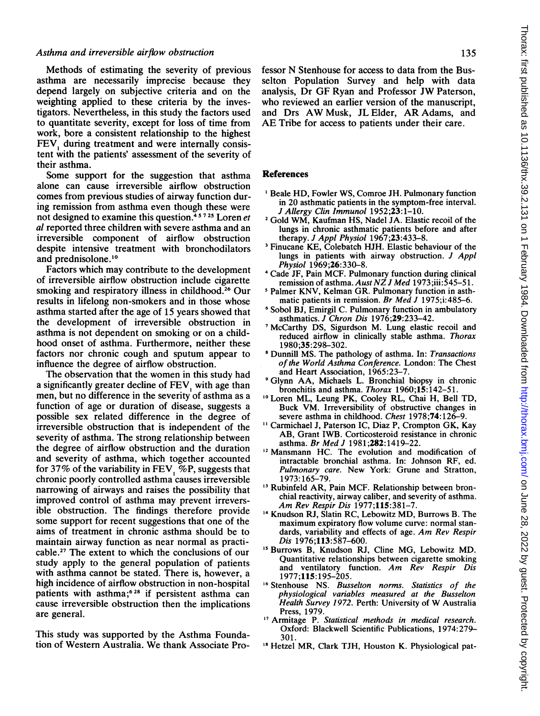## Asthma and irreversible airflow obstruction

Methods of estimating the severity of previous asthma are necessarily imprecise because they depend largely on subjective criteria and on the weighting applied to these criteria by the investigators. Nevertheless, in this study the factors used to quantitate severity, except for loss of time from work, bore a consistent relationship to the highest FEV, during treatment and were internally consistent with the patients' assessment of the severity of their asthma.

Some support for the suggestion that asthma alone can cause irreversible airflow obstruction comes from previous studies of airway function during remission from asthma even though these were not designed to examine this question.<sup>45725</sup> Loren et al reported three children with severe asthma and an irreversible component of airflow obstruction despite intensive treatment with bronchodilators and prednisolone.<sup>10</sup>

Factors which may contribute to the development of irreversible airflow obstruction include cigarette smoking and respiratory illness in childhood.<sup>26</sup> Our results in lifelong non-smokers and in those whose asthma started after the age of 15 years showed that the development of irreversible obstruction in asthma is not dependent on smoking or on a childhood onset of asthma. Furthermore, neither these factors nor chronic cough and sputum appear to influence the degree of airflow obstruction.

The observation that the women in this study had a significantly greater decline of FEV, with age than men, but no difference in the severity of asthma as a function of age or duration of disease, suggests a possible sex related difference in the degree of irreversible obstruction that is independent of the severity of asthma. The strong relationship between the degree of airflow obstruction and the duration and severity of asthma, which together accounted for 37% of the variability in  $FEV$ , %P, suggests that chronic poorly controlled asthma causes irreversible narrowing of airways and raises the possibility that improved control of asthma may prevent irreversible obstruction. The findings therefore provide some support for recent suggestions that one of the aims of treatment in chronic asthma should be to maintain airway function as near normal as practicable.27 The extent to which the conclusions of our study apply to the general population of patients with asthma cannot be stated. There is, however, a high incidence of airflow obstruction in non-hospital patients with asthma;<sup>6 28</sup> if persistent asthma can cause irreversible obstruction then the implications are general.

This study was supported by the Asthma Foundation of Western Australia. We thank Associate Pro135

fessor N Stenhouse for access to data from the Busselton Population Survey and help with data analysis, Dr GF Ryan and Professor JW Paterson, who reviewed an earlier version of the manuscript, and Drs AW Musk, JL Elder, AR Adams, and AE Tribe for access to patients under their care.

#### References

- Beale HD, Fowler WS, Comroe JH. Pulmonary function in 20 asthmatic patients in the symptom-free interval. J Allergy Clin Immunol 1952;23: 1-10.
- <sup>2</sup> Gold WM, Kaufman HS, Nadel JA. Elastic recoil of the lungs in chronic asthmatic patients before and after therapy. J Appl Physiol 1967;23:433-8.
- <sup>3</sup> Finucane KE, Colebatch HJH. Elastic behaviour of the lungs in patients with airway obstruction. J Appl Physiol 1969;26:330-8.
- <sup>4</sup> Cade JF, Pain MCF. Pulmonary function during clinical remission of asthma. Aust  $NZJ$  Med 1973;iii:545-51.
- <sup>5</sup> Palmer KNV, Kelman GR. Pulmonary function in asthmatic patients in remission. Br Med J 1975;i:485-6.
- <sup>6</sup> Sobol BJ, Emirgil C. Pulmonary function in ambulatory asthmatics. J Chron Dis 1976;29:233-42.
- 7McCarthy DS, Sigurdson M. Lung elastic recoil and reduced airflow in clinically stable asthma. Thorax 1980;35:298-302.
- Dunnill MS. The pathology of asthma. In: Transactions of the World Asthma Conference. London: The Chest and Heart Association, 1965:23-7.
- <sup>9</sup> Glynn AA, Michaels L. Bronchial biopsy in chronic bronchitis and asthma. Thorax 1960;15:142-51.
- '0 Loren ML, Leung PK, Cooley RL, Chai H, Bell TD, Buck VM. Irreversibility of obstructive changes in severe asthma in childhood. Chest 1978;74:126-9.
- <sup>11</sup> Carmichael J, Paterson IC, Diaz P, Crompton GK, Kay AB, Grant IWB. Corticosteroid resistance in chronic asthma. Br Med J 1981;282:1419-22.
- <sup>12</sup> Mansmann HC. The evolution and modification of intractable bronchial asthma. In: Johnson RF, ed. Pulmonary care. New York: Grune and Stratton, 1973:165-79.
- <sup>13</sup> Rubinfeld AR, Pain MCF. Relationship between bronchial reactivity, airway caliber, and severity of asthma. Am Rev Respir Dis 1977;115:381-7.
- <sup>14</sup> Knudson RJ, Slatin RC, Lebowitz MD, Burrows B. The maximum expiratory flow volume curve: normal standards, variability and effects of age. Am Rev Respir Dis 1976;113:587-600.
- <sup>15</sup> Burrows B, Knudson RJ, Cline MG, Lebowitz MD. Quantitative relationships between cigarette smoking and ventilatory function. Am Rev Respir Dis 1977;115: 195-205.
- <sup>16</sup> Stenhouse NS. Busselton norms. Statistics of the physiological variables measured at the Busselton Health Survey 1972. Perth: University of W Australia Press, 1979.
- <sup>17</sup> Armitage P. Statistical methods in medical research. Oxford: Blackwell Scientific Publications, 1974:279- 301.
- <sup>18</sup> Hetzel MR, Clark TJH, Houston K. Physiological pat-